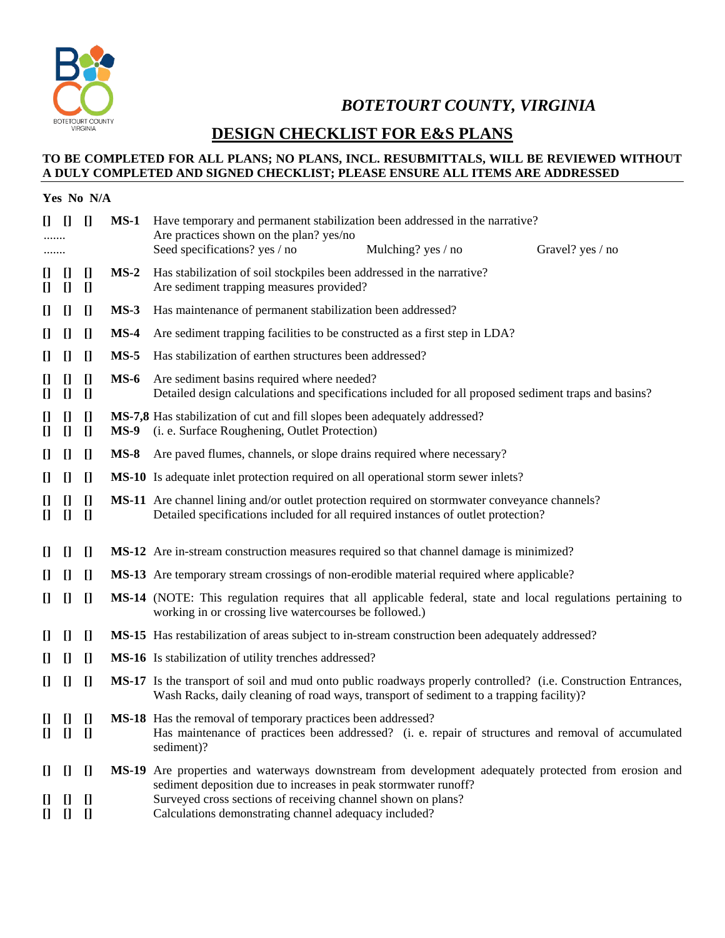

*BOTETOURT COUNTY, VIRGINIA* 

### **DESIGN CHECKLIST FOR E&S PLANS**

### **TO BE COMPLETED FOR ALL PLANS; NO PLANS, INCL. RESUBMITTALS, WILL BE REVIEWED WITHOUT A DULY COMPLETED AND SIGNED CHECKLIST; PLEASE ENSURE ALL ITEMS ARE ADDRESSED**

| Yes No N/A                                                                                                                                                                                          |                                                                                                                                                                                                                                                                                                                                                                                                                                                                                                                                                                                                                                                                                                                                                                                                                    |                                                           |             |                                                                                                                                                                                                                                                                                                  |
|-----------------------------------------------------------------------------------------------------------------------------------------------------------------------------------------------------|--------------------------------------------------------------------------------------------------------------------------------------------------------------------------------------------------------------------------------------------------------------------------------------------------------------------------------------------------------------------------------------------------------------------------------------------------------------------------------------------------------------------------------------------------------------------------------------------------------------------------------------------------------------------------------------------------------------------------------------------------------------------------------------------------------------------|-----------------------------------------------------------|-------------|--------------------------------------------------------------------------------------------------------------------------------------------------------------------------------------------------------------------------------------------------------------------------------------------------|
| $\prod$                                                                                                                                                                                             | H                                                                                                                                                                                                                                                                                                                                                                                                                                                                                                                                                                                                                                                                                                                                                                                                                  | $\prod$                                                   | $MS-1$      | Have temporary and permanent stabilization been addressed in the narrative?<br>Are practices shown on the plan? yes/no<br>Seed specifications? yes / no<br>Mulching? yes / no<br>Gravel? yes / no                                                                                                |
| IJ<br>$\prod$                                                                                                                                                                                       | $\prod$<br>$\prod$                                                                                                                                                                                                                                                                                                                                                                                                                                                                                                                                                                                                                                                                                                                                                                                                 | $\prod$<br>$\prod$                                        | $MS-2$      | Has stabilization of soil stockpiles been addressed in the narrative?<br>Are sediment trapping measures provided?                                                                                                                                                                                |
| $\prod$                                                                                                                                                                                             | $\prod$                                                                                                                                                                                                                                                                                                                                                                                                                                                                                                                                                                                                                                                                                                                                                                                                            | $\prod$                                                   | $MS-3$      | Has maintenance of permanent stabilization been addressed?                                                                                                                                                                                                                                       |
| $\prod$                                                                                                                                                                                             | H                                                                                                                                                                                                                                                                                                                                                                                                                                                                                                                                                                                                                                                                                                                                                                                                                  | $\prod$                                                   | $MS-4$      | Are sediment trapping facilities to be constructed as a first step in LDA?                                                                                                                                                                                                                       |
| $\prod$                                                                                                                                                                                             | $\prod$                                                                                                                                                                                                                                                                                                                                                                                                                                                                                                                                                                                                                                                                                                                                                                                                            | $\prod$                                                   | $MS-5$      | Has stabilization of earthen structures been addressed?                                                                                                                                                                                                                                          |
| IJ<br>$\mathbf{I}$                                                                                                                                                                                  | $\prod$<br>$\prod$                                                                                                                                                                                                                                                                                                                                                                                                                                                                                                                                                                                                                                                                                                                                                                                                 | $\prod$<br>$\prod$                                        | $MS-6$      | Are sediment basins required where needed?<br>Detailed design calculations and specifications included for all proposed sediment traps and basins?                                                                                                                                               |
| $\prod$<br>$\prod$                                                                                                                                                                                  | $\prod$<br>$\prod$                                                                                                                                                                                                                                                                                                                                                                                                                                                                                                                                                                                                                                                                                                                                                                                                 | $\prod$<br>$\prod$                                        | <b>MS-9</b> | MS-7,8 Has stabilization of cut and fill slopes been adequately addressed?<br>(i. e. Surface Roughening, Outlet Protection)                                                                                                                                                                      |
| $\prod$                                                                                                                                                                                             | $\prod$                                                                                                                                                                                                                                                                                                                                                                                                                                                                                                                                                                                                                                                                                                                                                                                                            | $\prod$                                                   | $MS-8$      | Are paved flumes, channels, or slope drains required where necessary?                                                                                                                                                                                                                            |
| $\prod$                                                                                                                                                                                             | $\prod$                                                                                                                                                                                                                                                                                                                                                                                                                                                                                                                                                                                                                                                                                                                                                                                                            | $\prod$                                                   |             | <b>MS-10</b> Is adequate inlet protection required on all operational storm sewer inlets?                                                                                                                                                                                                        |
| $\prod$<br>O                                                                                                                                                                                        | $\prod$<br>$\prod$                                                                                                                                                                                                                                                                                                                                                                                                                                                                                                                                                                                                                                                                                                                                                                                                 | $\prod$<br>$\prod$                                        |             | <b>MS-11</b> Are channel lining and/or outlet protection required on stormwater conveyance channels?<br>Detailed specifications included for all required instances of outlet protection?                                                                                                        |
| $\prod$                                                                                                                                                                                             | $\prod$                                                                                                                                                                                                                                                                                                                                                                                                                                                                                                                                                                                                                                                                                                                                                                                                            | $\prod$                                                   |             | <b>MS-12</b> Are in-stream construction measures required so that channel damage is minimized?                                                                                                                                                                                                   |
| $\Box$                                                                                                                                                                                              | $\prod$                                                                                                                                                                                                                                                                                                                                                                                                                                                                                                                                                                                                                                                                                                                                                                                                            | $\prod$                                                   |             | <b>MS-13</b> Are temporary stream crossings of non-erodible material required where applicable?                                                                                                                                                                                                  |
| $\prod$                                                                                                                                                                                             | $\prod$                                                                                                                                                                                                                                                                                                                                                                                                                                                                                                                                                                                                                                                                                                                                                                                                            | $\prod$                                                   |             | MS-14 (NOTE: This regulation requires that all applicable federal, state and local regulations pertaining to<br>working in or crossing live watercourses be followed.)                                                                                                                           |
| $\prod$                                                                                                                                                                                             | $\prod$                                                                                                                                                                                                                                                                                                                                                                                                                                                                                                                                                                                                                                                                                                                                                                                                            | $\prod$                                                   |             | <b>MS-15</b> Has restabilization of areas subject to in-stream construction been adequately addressed?                                                                                                                                                                                           |
| H                                                                                                                                                                                                   | $\prod$                                                                                                                                                                                                                                                                                                                                                                                                                                                                                                                                                                                                                                                                                                                                                                                                            | $\prod$                                                   |             | MS-16 Is stabilization of utility trenches addressed?                                                                                                                                                                                                                                            |
| O                                                                                                                                                                                                   | $\prod$                                                                                                                                                                                                                                                                                                                                                                                                                                                                                                                                                                                                                                                                                                                                                                                                            | $\prod$                                                   |             | MS-17 Is the transport of soil and mud onto public roadways properly controlled? (i.e. Construction Entrances,<br>Wash Racks, daily cleaning of road ways, transport of sediment to a trapping facility)?                                                                                        |
| $[] \centering \includegraphics[width=0.47\textwidth]{images/TrDiM-Architecture.png} \caption{The 3D (top) and 4D (bottom) are shown in the left and right.} \label{TrDiM-Architecture}$<br>$\prod$ | $\prod$<br>$\Box$                                                                                                                                                                                                                                                                                                                                                                                                                                                                                                                                                                                                                                                                                                                                                                                                  | $\prod$<br>- []                                           |             | MS-18 Has the removal of temporary practices been addressed?<br>Has maintenance of practices been addressed? (i. e. repair of structures and removal of accumulated<br>sediment)?                                                                                                                |
| $\begin{array}{c} \square \end{array}$<br>U<br>$\mathbf{I}$                                                                                                                                         | $\prod$<br>$\prod$<br>$[] \centering \includegraphics[width=0.47\textwidth]{images/TransY_1.png} \caption{The first two different values of $10^{-4}$. The first two different values of $10^{-4}$. The first two different values of $10^{-4}$. The second two different values of $10^{-4}$. The second two different values of $10^{-4}$. The second two different values of $10^{-4}$. The second two different values of $10^{-4}$. The second two different values of $10^{-4}$. The second two different values of $10^{-4}$. The second two different values of $10^{-4}$. The second two different values of $10^{-4}$. The second two different values of $10^{-4}$. The second two different values of $10^{-4}$. The second two different values of $10^{-4}$. The second two different values of $10$ | $\prod$<br>$\begin{array}{c} \square \end{array}$<br>$[]$ |             | MS-19 Are properties and waterways downstream from development adequately protected from erosion and<br>sediment deposition due to increases in peak stormwater runoff?<br>Surveyed cross sections of receiving channel shown on plans?<br>Calculations demonstrating channel adequacy included? |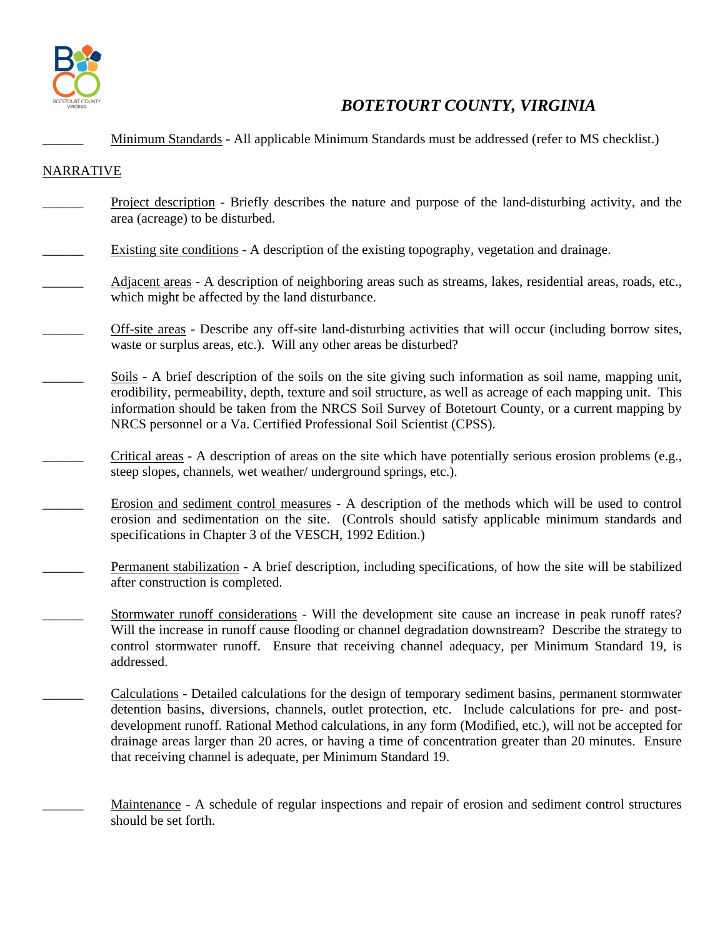

## *BOTETOURT COUNTY, VIRGINIA*

\_\_\_\_\_\_ Minimum Standards - All applicable Minimum Standards must be addressed (refer to MS checklist.)

#### NARRATIVE

- \_\_\_\_\_\_ Project description Briefly describes the nature and purpose of the land-disturbing activity, and the area (acreage) to be disturbed.
- Existing site conditions A description of the existing topography, vegetation and drainage.
- Adjacent areas A description of neighboring areas such as streams, lakes, residential areas, roads, etc., which might be affected by the land disturbance.
- \_\_\_\_\_\_ Off-site areas Describe any off-site land-disturbing activities that will occur (including borrow sites, waste or surplus areas, etc.). Will any other areas be disturbed?
- \_\_\_\_\_\_ Soils A brief description of the soils on the site giving such information as soil name, mapping unit, erodibility, permeability, depth, texture and soil structure, as well as acreage of each mapping unit. This information should be taken from the NRCS Soil Survey of Botetourt County, or a current mapping by NRCS personnel or a Va. Certified Professional Soil Scientist (CPSS).
- Critical areas A description of areas on the site which have potentially serious erosion problems (e.g., steep slopes, channels, wet weather/ underground springs, etc.).
- \_\_\_\_\_\_ Erosion and sediment control measures A description of the methods which will be used to control erosion and sedimentation on the site. (Controls should satisfy applicable minimum standards and specifications in Chapter 3 of the VESCH, 1992 Edition.)
- Permanent stabilization A brief description, including specifications, of how the site will be stabilized after construction is completed.
	- \_\_\_\_\_\_ Stormwater runoff considerations Will the development site cause an increase in peak runoff rates? Will the increase in runoff cause flooding or channel degradation downstream? Describe the strategy to control stormwater runoff. Ensure that receiving channel adequacy, per Minimum Standard 19, is addressed.
- \_\_\_\_\_\_ Calculations Detailed calculations for the design of temporary sediment basins, permanent stormwater detention basins, diversions, channels, outlet protection, etc. Include calculations for pre- and postdevelopment runoff. Rational Method calculations, in any form (Modified, etc.), will not be accepted for drainage areas larger than 20 acres, or having a time of concentration greater than 20 minutes. Ensure that receiving channel is adequate, per Minimum Standard 19.
	- \_\_\_\_\_\_ Maintenance A schedule of regular inspections and repair of erosion and sediment control structures should be set forth.